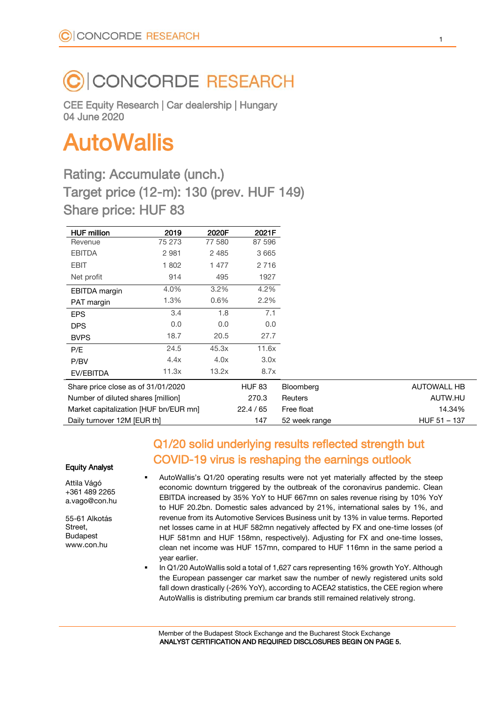## CONCORDE RESEARCH

CEE Equity Research | Car dealership | Hungary 04 June 2020

# AutoWallis

Rating: Accumulate (unch.) Target price (12-m): 130 (prev. HUF 149) Share price: HUF 83

| <b>HUF million</b>                    | 2019    | 2020F   | 2021F         |                |                    |
|---------------------------------------|---------|---------|---------------|----------------|--------------------|
| Revenue                               | 75 273  | 77 580  | 87 596        |                |                    |
| <b>EBITDA</b>                         | 2 9 8 1 | 2 4 8 5 | 3 6 6 5       |                |                    |
| <b>EBIT</b>                           | 1802    | 1 477   | 2 7 1 6       |                |                    |
| Net profit                            | 914     | 495     | 1927          |                |                    |
| EBITDA margin                         | 4.0%    | 3.2%    | 4.2%          |                |                    |
| PAT margin                            | 1.3%    | 0.6%    | 2.2%          |                |                    |
| <b>EPS</b>                            | 3.4     | 1.8     | 7.1           |                |                    |
| <b>DPS</b>                            | 0.0     | 0.0     | 0.0           |                |                    |
| <b>BVPS</b>                           | 18.7    | 20.5    | 27.7          |                |                    |
| P/E                                   | 24.5    | 45.3x   | 11.6x         |                |                    |
| P/BV                                  | 4.4x    | 4.0x    | 3.0x          |                |                    |
| EV/EBITDA                             | 11.3x   | 13.2x   | 8.7x          |                |                    |
| Share price close as of 31/01/2020    |         |         | <b>HUF 83</b> | Bloomberg      | <b>AUTOWALL HB</b> |
| Number of diluted shares [million]    |         |         | 270.3         | <b>Reuters</b> | AUTW.HU            |
| Market capitalization [HUF bn/EUR mn] |         |         | 22.4 / 65     | Free float     | 14.34%             |
| Daily turnover 12M [EUR th]           |         |         | 147           | 52 week range  | $HUF 51 - 137$     |

#### Equity Analyst

Attila Vágó +361 489 2265 a.vago@con.hu

55-61 Alkotás Street, Budapest www.con.hu

### Q1/20 solid underlying results reflected strength but COVID-19 virus is reshaping the earnings outlook

- AutoWallis's Q1/20 operating results were not yet materially affected by the steep economic downturn triggered by the outbreak of the coronavirus pandemic. Clean EBITDA increased by 35% YoY to HUF 667mn on sales revenue rising by 10% YoY to HUF 20.2bn. Domestic sales advanced by 21%, international sales by 1%, and revenue from its Automotive Services Business unit by 13% in value terms. Reported net losses came in at HUF 582mn negatively affected by FX and one-time losses (of HUF 581mn and HUF 158mn, respectively). Adjusting for FX and one-time losses, clean net income was HUF 157mn, compared to HUF 116mn in the same period a year earlier.
- In Q1/20 AutoWallis sold a total of 1,627 cars representing 16% growth YoY. Although the European passenger car market saw the number of newly registered units sold fall down drastically (-26% YoY), according to ACEA2 statistics, the CEE region where AutoWallis is distributing premium car brands still remained relatively strong.

Member of the Budapest Stock Exchange and the Bucharest Stock Exchange ANALYST CERTIFICATION AND REQUIRED DISCLOSURES BEGIN ON PAGE 5.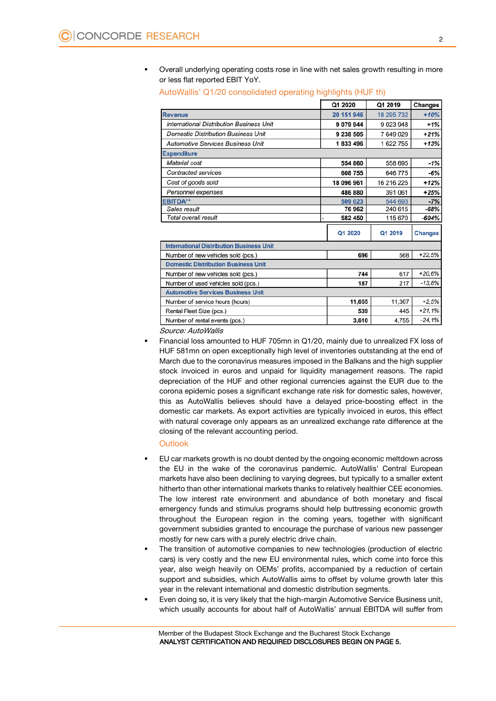Overall underlying operating costs rose in line with net sales growth resulting in more or less flat reported EBIT YoY.

|                                                 | Q1 2020    | Q1 2019    | Changes        |  |  |
|-------------------------------------------------|------------|------------|----------------|--|--|
| <b>Revenue</b>                                  | 20 151 946 | 18 295 732 | $+10%$         |  |  |
| <b>International Distribution Business Unit</b> | 9 079 944  | 9023948    | $+1%$          |  |  |
| <b>Domestic Distribution Business Unit</b>      | 9 238 505  | 7649029    | $+21%$         |  |  |
| <b>Automotive Services Business Unit</b>        | 1833496    | 1622755    | $+13%$         |  |  |
| <b>Expenditure</b>                              |            |            |                |  |  |
| Material cost                                   | 554 860    | 558 695    | $-1%$          |  |  |
| Contracted services                             | 608 755    | 646 775    | $-6%$          |  |  |
| Cost of goods sold                              | 18 096 961 | 16 216 225 | $+12%$         |  |  |
| Personnel expenses                              | 486 880    | 391 061    | $+25%$         |  |  |
| <b>EBITDA**</b>                                 | 509 023    | 544 693    | $-7%$          |  |  |
| Sales result                                    | 76962      | 240 615    | -68%           |  |  |
| Total overall result                            | 582 450    | 115 670    | $-604%$        |  |  |
|                                                 | Q1 2020    | Q1 2019    | <b>Changes</b> |  |  |
| <b>International Distribution Business Unit</b> |            |            |                |  |  |
| Number of new vehicles sold (pcs.)              | 696        | 568        | $+22.5%$       |  |  |
| <b>Domestic Distribution Business Unit</b>      |            |            |                |  |  |
| Number of new vehicles sold (pcs.)              | 744        | 617        | $+20.6%$       |  |  |
| Number of used vehicles sold (pcs.)             | 187        | 217        | $-13.8%$       |  |  |
| <b>Automotive Services Business Unit</b>        |            |            |                |  |  |
| Number of service hours (hours)                 | 11,655     | 11,367     | $+2,5%$        |  |  |
| Rental Fleet Size (pcs.)                        | 539        | 445        | $+21,1%$       |  |  |
| Number of rental events (pcs.)                  | 3,610      | 4,755      | $-24.1%$       |  |  |

#### AutoWallis' Q1/20 consolidated operating highlights (HUF th)

Source: AutoWallis

 Financial loss amounted to HUF 705mn in Q1/20, mainly due to unrealized FX loss of HUF 581mn on open exceptionally high level of inventories outstanding at the end of March due to the coronavirus measures imposed in the Balkans and the high supplier stock invoiced in euros and unpaid for liquidity management reasons. The rapid depreciation of the HUF and other regional currencies against the EUR due to the corona epidemic poses a significant exchange rate risk for domestic sales, however, this as AutoWallis believes should have a delayed price-boosting effect in the domestic car markets. As export activities are typically invoiced in euros, this effect with natural coverage only appears as an unrealized exchange rate difference at the closing of the relevant accounting period.

#### **Outlook**

- EU car markets growth is no doubt dented by the ongoing economic meltdown across the EU in the wake of the coronavirus pandemic. AutoWallis' Central European markets have also been declining to varying degrees, but typically to a smaller extent hitherto than other international markets thanks to relatively healthier CEE economies. The low interest rate environment and abundance of both monetary and fiscal emergency funds and stimulus programs should help buttressing economic growth throughout the European region in the coming years, together with significant government subsidies granted to encourage the purchase of various new passenger mostly for new cars with a purely electric drive chain.
- The transition of automotive companies to new technologies (production of electric cars) is very costly and the new EU environmental rules, which come into force this year, also weigh heavily on OEMs' profits, accompanied by a reduction of certain support and subsidies, which AutoWallis aims to offset by volume growth later this year in the relevant international and domestic distribution segments.
- Even doing so, it is very likely that the high-margin Automotive Service Business unit, which usually accounts for about half of AutoWallis' annual EBITDA will suffer from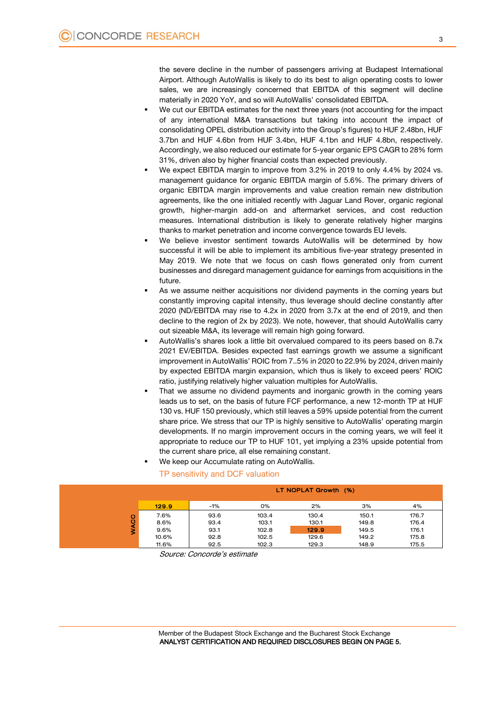the severe decline in the number of passengers arriving at Budapest International Airport. Although AutoWallis is likely to do its best to align operating costs to lower sales, we are increasingly concerned that EBITDA of this segment will decline materially in 2020 YoY, and so will AutoWallis' consolidated EBITDA.

- We cut our EBITDA estimates for the next three years (not accounting for the impact of any international M&A transactions but taking into account the impact of consolidating OPEL distribution activity into the Group's figures) to HUF 2.48bn, HUF 3.7bn and HUF 4.6bn from HUF 3.4bn, HUF 4.1bn and HUF 4.8bn, respectively. Accordingly, we also reduced our estimate for 5-year organic EPS CAGR to 28% form 31%, driven also by higher financial costs than expected previously.
- We expect EBITDA margin to improve from 3.2% in 2019 to only 4.4% by 2024 vs. management guidance for organic EBITDA margin of 5.6%. The primary drivers of organic EBITDA margin improvements and value creation remain new distribution agreements, like the one initialed recently with Jaguar Land Rover, organic regional growth, higher-margin add-on and aftermarket services, and cost reduction measures. International distribution is likely to generate relatively higher margins thanks to market penetration and income convergence towards EU levels.
- We believe investor sentiment towards AutoWallis will be determined by how successful it will be able to implement its ambitious five-year strategy presented in May 2019. We note that we focus on cash flows generated only from current businesses and disregard management guidance for earnings from acquisitions in the future.
- As we assume neither acquisitions nor dividend payments in the coming years but constantly improving capital intensity, thus leverage should decline constantly after 2020 (ND/EBITDA may rise to 4.2x in 2020 from 3.7x at the end of 2019, and then decline to the region of 2x by 2023). We note, however, that should AutoWallis carry out sizeable M&A, its leverage will remain high going forward.
- AutoWallis's shares look a little bit overvalued compared to its peers based on 8.7x 2021 EV/EBITDA. Besides expected fast earnings growth we assume a significant improvement in AutoWallis' ROIC from 7..5% in 2020 to 22.9% by 2024, driven mainly by expected EBITDA margin expansion, which thus is likely to exceed peers' ROIC ratio, justifying relatively higher valuation multiples for AutoWallis.
- That we assume no dividend payments and inorganic growth in the coming years leads us to set, on the basis of future FCF performance, a new 12-month TP at HUF 130 vs. HUF 150 previously, which still leaves a 59% upside potential from the current share price. We stress that our TP is highly sensitive to AutoWallis' operating margin developments. If no margin improvement occurs in the coming years, we will feel it appropriate to reduce our TP to HUF 101, yet implying a 23% upside potential from the current share price, all else remaining constant.
- We keep our Accumulate rating on AutoWallis.

|             | ٠                    | TP sensitivity and DCF valuation | We keep our Accumulate rating on AutoWallis. |       |       |       |
|-------------|----------------------|----------------------------------|----------------------------------------------|-------|-------|-------|
|             | LT NOPLAT Growth (%) |                                  |                                              |       |       |       |
|             | 129.9                | -1%                              | 0%                                           | 2%    | 3%    | 4%    |
|             | 7.6%                 | 93.6                             | 103.4                                        | 130.4 | 150.1 | 176.7 |
|             | 8.6%                 | 93.4                             | 103.1                                        | 130.1 | 149.8 | 176.4 |
| <b>WACC</b> | $9.6\%$              | 93.1                             | 102.8                                        | 129.9 | 149.5 | 176.1 |
|             | 10.6%                | 92.8                             | 102.5                                        | 129.6 | 149.2 | 175.8 |
|             | 11.6%                | 92.5                             | 102.3                                        | 129.3 | 148.9 | 175.5 |

Source: Concorde's estimate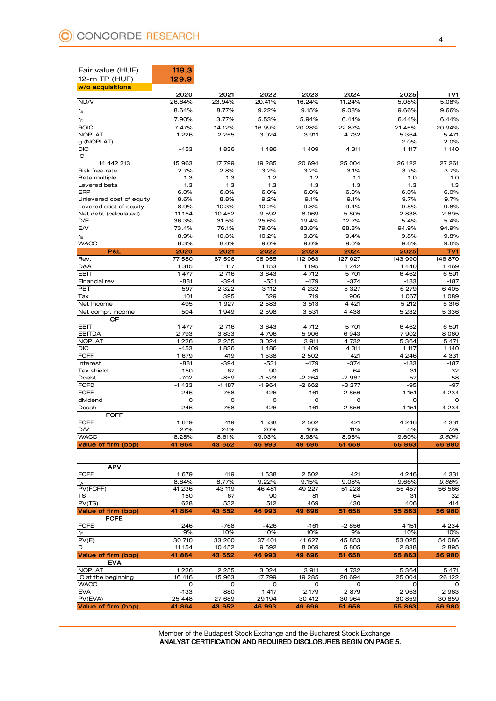| Fair value (HUF)<br>12-m TP (HUF)  | 119.3<br>129.9     |               |                |                   |              |                   |              |
|------------------------------------|--------------------|---------------|----------------|-------------------|--------------|-------------------|--------------|
| w/o acquisitions                   | 2020               | 2021          | 2022           | 2023              | 2024         | 2025              | TV1          |
| ND/V                               | 26.64%             | 23.94%        | 20.41%         | 16.24%            | 11.24%       | 5.08%             | 5.08%        |
| rĀ                                 | 8.64%              | 8.77%         | 9.22%          | 9.15%             | 9.08%        | 9.66%             | 9.66%        |
| r <sub>D</sub>                     | 7.90%              | 3.77%         | 5.53%          | 5.94%             | 6.44%        | 6.44%             | 6.44%        |
| <b>ROIC</b>                        | 7.47%              | 14.12%        | 16.99%         | 20.28%            | 22.87%       | 21.45%            | 20.94%       |
| <b>NOPLAT</b>                      | 1226               | 2 2 5 5       | 3024           | 3 911             | 4732         | 5 3 6 4           | 5 4 7 1      |
| g (NOPLAT)<br><b>DIC</b>           | $-453$             | 1836          | 1486           | 1409              | 4 311        | 2.0%<br>1 1 1 7   | 2.0%<br>1140 |
| IC                                 |                    |               |                |                   |              |                   |              |
| 14 442 213                         | 15 963             | 17799         | 19 285         | 20 694            | 25 004       | 26 122            | 27 261       |
| Risk free rate                     | 2.7%               | 2.8%          | 3.2%           | 3.2%              | 3.1%         | 3.7%              | 3.7%         |
| <b>Beta multiple</b>               | 1.3                | 1.3           | $1.2$          | 1.2               | 1.1          | 1.0               | 1.0          |
| Levered beta<br>ERP                | 1.3<br>6.0%        | 1.3<br>6.0%   | 1.3<br>6.0%    | 1.3<br>6.0%       | 1.3          | 1.3<br>6.0%       | 1.3          |
| Unlevered cost of equity           | 8.6%               | 8.8%          | 9.2%           | 9.1%              | 6.0%<br>9.1% | 9.7%              | 6.0%<br>9.7% |
| Levered cost of equity             | 8.9%               | 10.3%         | 10.2%          | 9.8%              | 9.4%         | 9.8%              | 9.8%         |
| Net debt (calculated)              | 11 154             | 10 452        | 9592           | 8 0 6 9           | 5805         | 2838              | 2895         |
| D/E                                | 36.3%              | 31.5%         | 25.6%          | 19.4%             | 12.7%        | 5.4%              | 5.4%         |
| E/V                                | 73.4%              | 76.1%         | 79.6%          | 83.8%             | 88.8%        | 94.9%             | 94.9%        |
| rE                                 | 8.9%               | 10.3%         | 10.2%          | 9.8%              | 9.4%         | 9.8%              | 9.8%         |
| <b>WACC</b><br>P&L                 | 8.3%<br>2020       | 8.6%<br>2021  | 9.0%<br>2022   | 9.0%<br>2023      | 9.0%<br>2024 | 9.6%<br>2025      | 9.6%<br>TV1  |
| Rev.                               | 77 580             | 87 596        | 98 955         | 112 063           | 127 027      | 143 990           | 146 870      |
| D&A                                | 1 3 1 5            | 1 1 1 7       | 1153           | 1195              | 1242         | 1440              | 1469         |
| <b>EBIT</b>                        | 1 477              | 2 716         | 3643           | 4 7 12            | 5 701        | 6462              | 6 5 9 1      |
| Financial rev.                     | -881               | $-394$        | $-531$         | $-479$            | $-374$       | $-183$            | $-187$       |
| PBT                                | 597                | 2 3 2 2       | 3 112          | 4 2 3 2           | 5 3 2 7      | 6 2 7 9           | 6405         |
| Tax                                | 101                | 395           | 529            | 719               | 906          | 1 0 6 7           | 1089         |
| Net Income                         | 495<br>504         | 1927          | 2 5 8 3        | 3 513             | 4 4 21       | 5 2 1 2           | 5 3 1 6      |
| Net compr. income<br>СF            |                    | 1949          | 2 598          | 3 5 3 1           | 4 4 3 8      | 5 2 3 2           | 5 3 3 6      |
| <b>EBIT</b>                        | 1 477              | 2 716         | 3 643          | 4 7 12            | 5 701        | 6462              | 6 5 9 1      |
| <b>EBITDA</b>                      | 2 7 9 3            | 3833          | 4796           | 5 9 0 6           | 6943         | 7902              | 8 0 6 0      |
| <b>NOPLAT</b>                      | $\overline{1}$ 226 | 2 2 5 5       | 3 0 2 4        | 3 911             | 4732         | 5 3 6 4           | 5 4 7 1      |
| <b>DIC</b>                         | $-453$             | 1836          | 1486           | 1409              | 4 311        | 1 1 1 7           | 1140         |
| <b>FCFF</b>                        | 1679<br>-881       | 419<br>$-394$ | 1538<br>$-531$ | 2 5 0 2<br>$-479$ | 421          | 4 2 4 6<br>$-183$ | 4 3 3 1      |
| Interest<br>Tax shield             | 150                | 67            | 90             | 81                | $-374$<br>64 | 31                | $-187$<br>32 |
| Ddebt                              | $-702$             | $-859$        | $-1523$        | $-2264$           | $-2967$      | 57                | 58           |
| <b>FCFD</b>                        | $-1433$            | $-1187$       | $-1964$        | $-2662$           | $-3277$      | $-95$             | $-97$        |
| <b>FCFE</b>                        | 246                | $-768$        | $-426$         | $-161$            | $-2856$      | 4 1 5 1           | 4 2 3 4      |
| dividend                           | $\mathbf 0$        | $\circ$       | O              | $\mathbf 0$       | 0            | 0                 | 0            |
| Dcash                              | 246                | $-768$        | $-426$         | $-161$            | $-2856$      | 4 1 5 1           | 4 2 3 4      |
| <b>FCFF</b><br><b>FCFF</b>         | 1679               | 419           | 1538           | 2 5 0 2           | 421          | 4 2 4 6           | 4 3 3 1      |
| D/V                                | 27%                | 24%           | 20%            | 16%               | 11%          | 5%                | 5%           |
| <b>WACC</b>                        | 8.28%              | 8.61%         | 9.03%          | 8.98%             | 8.96%        | 9.60%             | 9.60%        |
| Value of firm (bop)                | 41864              | 43 652        | 46 993         | 49 696            | 51 658       | 55 863            | 56 980       |
|                                    |                    |               |                |                   |              |                   |              |
|                                    |                    |               |                |                   |              |                   |              |
| <b>APV</b><br><b>FCFF</b>          | 1679               | 419           | 1538           | 2 5 0 2           | 421          | 4 2 4 6           | 4 3 3 1      |
| rĂ                                 | 8.64%              | 8.77%         | 9.22%          | 9.15%             | 9.08%        | 9.66%             | 9.66%        |
| PV(FCFF)                           | 41 236             | 43 119        | 46 481         | 49 227            | 51 2 28      | 55 457            | 56 566       |
| TS                                 | 150                | 67            | 90             | 81                | 64           | 31                | 32           |
| PV(TS)                             | 628                | 532           | 512            | 469               | 430          | 406               | 414          |
| Value of firm (bop)<br><b>FCFE</b> | 41864              | 43 652        | 46 993         | 49 696            | 51 658       | 55 863            | 56980        |
| <b>FCFE</b>                        | 246                | $-768$        | $-426$         | $-161$            | $-2856$      | 4 1 5 1           | 4 2 3 4      |
| r <sub>E</sub>                     | 9%                 | 10%           | 10%            | 10%               | 9%           | 10%               | 10%          |
| PV(E)                              | 30 710             | 33 200        | 37 401         | 41 627            | 45 853       | 53 025            | 54 086       |
| D                                  | 11 154             | 10 452        | 9592           | 8 0 6 9           | 5805         | 2838              | 2895         |
| Value of firm (bop)                | 41864              | 43 652        | 46 993         | 49 696            | 51 658       | 55 863            | 56 980       |
| <b>EVA</b><br><b>NOPLAT</b>        | 1226               | 2 2 5 5       | 3024           | 3 911             | 4732         | 5 3 6 4           | 5 4 7 1      |
| IC at the beginning                | 16 416             | 15 963        | 17799          | 19 285            | 20 694       | 25 004            | 26 122       |
| <b>WACC</b>                        | 0                  | 0             | 0              | 0                 | $\mathbf 0$  | 0                 |              |
| EVA                                | $-133$             | 880           | 1 4 1 7        | 2 1 7 9           | 2879         | 2 9 6 3           | 2 9 6 3      |
| PV(EVA)                            | 25 448             | 27 689        | 29 194         | 30 412            | 30 964       | 30 859            | 30 859       |
| Value of firm (bop)                | 41864              | 43 652        | 46 993         | 49 696            | 51 658       | 55 863            | 56 980       |
|                                    |                    |               |                |                   |              |                   |              |

Member of the Budapest Stock Exchange and the Bucharest Stock Exchange ANALYST CERTIFICATION AND REQUIRED DISCLOSURES BEGIN ON PAGE 5.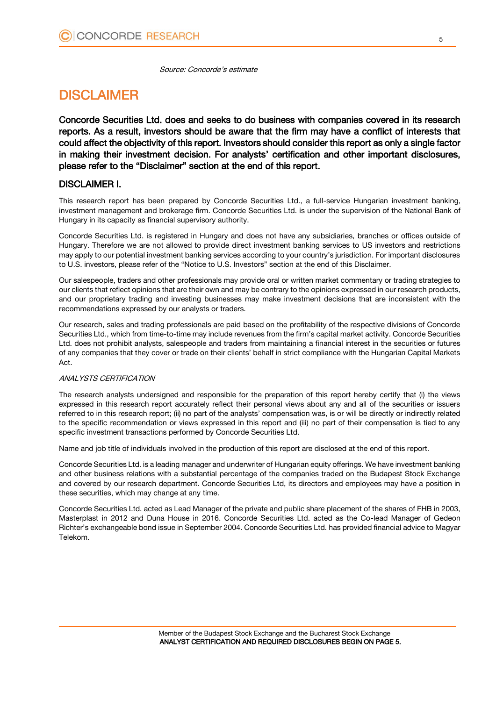Source: Concorde's estimate

## **DISCLAIMER**

Concorde Securities Ltd. does and seeks to do business with companies covered in its research reports. As a result, investors should be aware that the firm may have a conflict of interests that could affect the objectivity of this report. Investors should consider this report as only a single factor in making their investment decision. For analysts' certification and other important disclosures, please refer to the "Disclaimer" section at the end of this report.

#### DISCLAIMER I.

This research report has been prepared by Concorde Securities Ltd., a full-service Hungarian investment banking, investment management and brokerage firm. Concorde Securities Ltd. is under the supervision of the National Bank of Hungary in its capacity as financial supervisory authority.

Concorde Securities Ltd. is registered in Hungary and does not have any subsidiaries, branches or offices outside of Hungary. Therefore we are not allowed to provide direct investment banking services to US investors and restrictions may apply to our potential investment banking services according to your country's jurisdiction. For important disclosures to U.S. investors, please refer of the "Notice to U.S. Investors" section at the end of this Disclaimer.

Our salespeople, traders and other professionals may provide oral or written market commentary or trading strategies to our clients that reflect opinions that are their own and may be contrary to the opinions expressed in our research products, and our proprietary trading and investing businesses may make investment decisions that are inconsistent with the recommendations expressed by our analysts or traders.

Our research, sales and trading professionals are paid based on the profitability of the respective divisions of Concorde Securities Ltd., which from time-to-time may include revenues from the firm's capital market activity. Concorde Securities Ltd. does not prohibit analysts, salespeople and traders from maintaining a financial interest in the securities or futures of any companies that they cover or trade on their clients' behalf in strict compliance with the Hungarian Capital Markets Act.

#### ANALYSTS CERTIFICATION

The research analysts undersigned and responsible for the preparation of this report hereby certify that (i) the views expressed in this research report accurately reflect their personal views about any and all of the securities or issuers referred to in this research report; (ii) no part of the analysts' compensation was, is or will be directly or indirectly related to the specific recommendation or views expressed in this report and (iii) no part of their compensation is tied to any specific investment transactions performed by Concorde Securities Ltd.

Name and job title of individuals involved in the production of this report are disclosed at the end of this report.

Concorde Securities Ltd. is a leading manager and underwriter of Hungarian equity offerings. We have investment banking and other business relations with a substantial percentage of the companies traded on the Budapest Stock Exchange and covered by our research department. Concorde Securities Ltd, its directors and employees may have a position in these securities, which may change at any time.

Concorde Securities Ltd. acted as Lead Manager of the private and public share placement of the shares of FHB in 2003, Masterplast in 2012 and Duna House in 2016. Concorde Securities Ltd. acted as the Co-lead Manager of Gedeon Richter's exchangeable bond issue in September 2004. Concorde Securities Ltd. has provided financial advice to Magyar Telekom.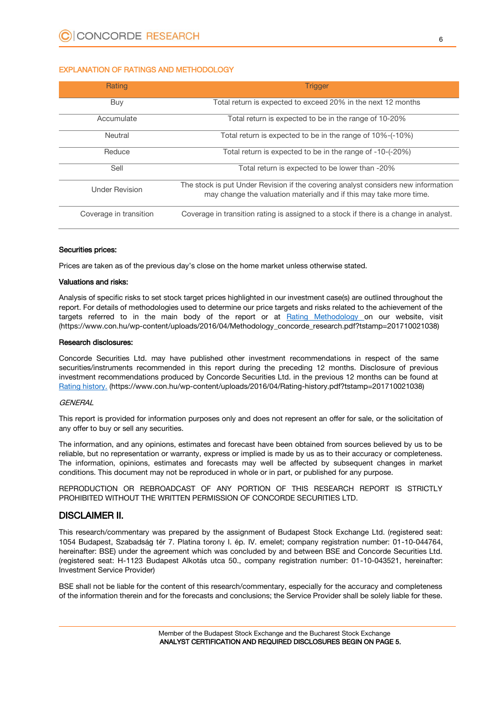#### EXPLANATION OF RATINGS AND METHODOLOGY

| Rating                 | <b>Trigger</b>                                                                                                                                           |
|------------------------|----------------------------------------------------------------------------------------------------------------------------------------------------------|
| Buy                    | Total return is expected to exceed 20% in the next 12 months                                                                                             |
| Accumulate             | Total return is expected to be in the range of 10-20%                                                                                                    |
| Neutral                | Total return is expected to be in the range of 10%-(-10%)                                                                                                |
| Reduce                 | Total return is expected to be in the range of -10-(-20%)                                                                                                |
| Sell                   | Total return is expected to be lower than -20%                                                                                                           |
| <b>Under Revision</b>  | The stock is put Under Revision if the covering analyst considers new information<br>may change the valuation materially and if this may take more time. |
| Coverage in transition | Coverage in transition rating is assigned to a stock if there is a change in analyst.                                                                    |

#### Securities prices:

Prices are taken as of the previous day's close on the home market unless otherwise stated.

#### Valuations and risks:

Analysis of specific risks to set stock target prices highlighted in our investment case(s) are outlined throughout the report. For details of methodologies used to determine our price targets and risks related to the achievement of the targets referred to in the main body of the report or at [Rating Methodology](https://www.con.hu/wp-content/uploads/2016/04/Methodology_concorde_research.pdf?tstamp=201710021038) on our website, visit (https://www.con.hu/wp-content/uploads/2016/04/Methodology\_concorde\_research.pdf?tstamp=201710021038)

#### Research disclosures:

Concorde Securities Ltd. may have published other investment recommendations in respect of the same securities/instruments recommended in this report during the preceding 12 months. Disclosure of previous investment recommendations produced by Concorde Securities Ltd. in the previous 12 months can be found at [Rating history.](https://www.con.hu/wp-content/uploads/2016/04/Rating-history.pdf?tstamp=201710021038) (https://www.con.hu/wp-content/uploads/2016/04/Rating-history.pdf?tstamp=201710021038)

#### **GENERAL**

This report is provided for information purposes only and does not represent an offer for sale, or the solicitation of any offer to buy or sell any securities.

The information, and any opinions, estimates and forecast have been obtained from sources believed by us to be reliable, but no representation or warranty, express or implied is made by us as to their accuracy or completeness. The information, opinions, estimates and forecasts may well be affected by subsequent changes in market conditions. This document may not be reproduced in whole or in part, or published for any purpose.

REPRODUCTION OR REBROADCAST OF ANY PORTION OF THIS RESEARCH REPORT IS STRICTLY PROHIBITED WITHOUT THE WRITTEN PERMISSION OF CONCORDE SECURITIES LTD.

#### DISCLAIMER II.

This research/commentary was prepared by the assignment of Budapest Stock Exchange Ltd. (registered seat: 1054 Budapest, Szabadság tér 7. Platina torony I. ép. IV. emelet; company registration number: 01-10-044764, hereinafter: BSE) under the agreement which was concluded by and between BSE and Concorde Securities Ltd. (registered seat: H-1123 Budapest Alkotás utca 50., company registration number: 01-10-043521, hereinafter: Investment Service Provider)

BSE shall not be liable for the content of this research/commentary, especially for the accuracy and completeness of the information therein and for the forecasts and conclusions; the Service Provider shall be solely liable for these.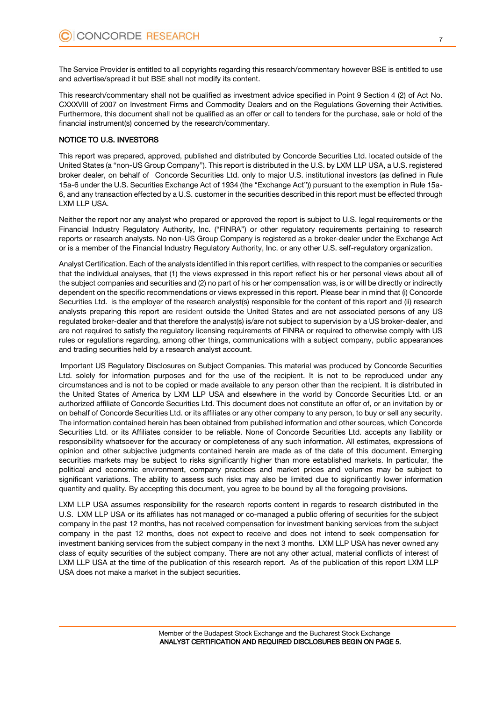The Service Provider is entitled to all copyrights regarding this research/commentary however BSE is entitled to use and advertise/spread it but BSE shall not modify its content.

This research/commentary shall not be qualified as investment advice specified in Point 9 Section 4 (2) of Act No. CXXXVIII of 2007 on Investment Firms and Commodity Dealers and on the Regulations Governing their Activities. Furthermore, this document shall not be qualified as an offer or call to tenders for the purchase, sale or hold of the financial instrument(s) concerned by the research/commentary.

#### NOTICE TO U.S. INVESTORS

This report was prepared, approved, published and distributed by Concorde Securities Ltd. located outside of the United States (a "non-US Group Company"). This report is distributed in the U.S. by LXM LLP USA, a U.S. registered broker dealer, on behalf of Concorde Securities Ltd. only to major U.S. institutional investors (as defined in Rule 15a-6 under the U.S. Securities Exchange Act of 1934 (the "Exchange Act")) pursuant to the exemption in Rule 15a-6, and any transaction effected by a U.S. customer in the securities described in this report must be effected through LXM LLP USA.

Neither the report nor any analyst who prepared or approved the report is subject to U.S. legal requirements or the Financial Industry Regulatory Authority, Inc. ("FINRA") or other regulatory requirements pertaining to research reports or research analysts. No non-US Group Company is registered as a broker-dealer under the Exchange Act or is a member of the Financial Industry Regulatory Authority, Inc. or any other U.S. self-regulatory organization.

Analyst Certification. Each of the analysts identified in this report certifies, with respect to the companies or securities that the individual analyses, that (1) the views expressed in this report reflect his or her personal views about all of the subject companies and securities and (2) no part of his or her compensation was, is or will be directly or indirectly dependent on the specific recommendations or views expressed in this report. Please bear in mind that (i) Concorde Securities Ltd. is the employer of the research analyst(s) responsible for the content of this report and (ii) research analysts preparing this report are resident outside the United States and are not associated persons of any US regulated broker-dealer and that therefore the analyst(s) is/are not subject to supervision by a US broker-dealer, and are not required to satisfy the regulatory licensing requirements of FINRA or required to otherwise comply with US rules or regulations regarding, among other things, communications with a subject company, public appearances and trading securities held by a research analyst account.

Important US Regulatory Disclosures on Subject Companies. This material was produced by Concorde Securities Ltd. solely for information purposes and for the use of the recipient. It is not to be reproduced under any circumstances and is not to be copied or made available to any person other than the recipient. It is distributed in the United States of America by LXM LLP USA and elsewhere in the world by Concorde Securities Ltd. or an authorized affiliate of Concorde Securities Ltd. This document does not constitute an offer of, or an invitation by or on behalf of Concorde Securities Ltd. or its affiliates or any other company to any person, to buy or sell any security. The information contained herein has been obtained from published information and other sources, which Concorde Securities Ltd. or its Affiliates consider to be reliable. None of Concorde Securities Ltd. accepts any liability or responsibility whatsoever for the accuracy or completeness of any such information. All estimates, expressions of opinion and other subjective judgments contained herein are made as of the date of this document. Emerging securities markets may be subject to risks significantly higher than more established markets. In particular, the political and economic environment, company practices and market prices and volumes may be subject to significant variations. The ability to assess such risks may also be limited due to significantly lower information quantity and quality. By accepting this document, you agree to be bound by all the foregoing provisions.

LXM LLP USA assumes responsibility for the research reports content in regards to research distributed in the U.S. LXM LLP USA or its affiliates has not managed or co-managed a public offering of securities for the subject company in the past 12 months, has not received compensation for investment banking services from the subject company in the past 12 months, does not expect to receive and does not intend to seek compensation for investment banking services from the subject company in the next 3 months. LXM LLP USA has never owned any class of equity securities of the subject company. There are not any other actual, material conflicts of interest of LXM LLP USA at the time of the publication of this research report. As of the publication of this report LXM LLP USA does not make a market in the subject securities.